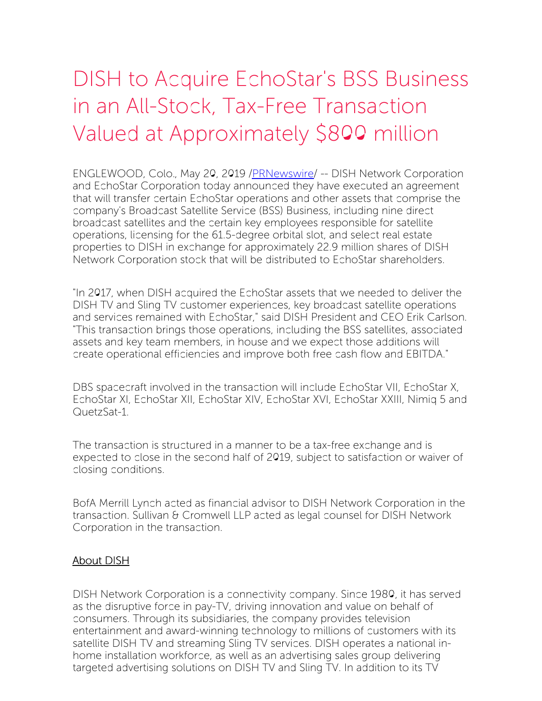## DISH to Acquire EchoStar's BSS Business in an All-Stock, Tax-Free Transaction Valued at Approximately \$800 million

ENGLEWOOD, Colo., May 20, 2019 [/PRNewswire](http://www.prnewswire.com/)/ -- DISH Network Corporation and EchoStar Corporation today announced they have executed an agreement that will transfer certain EchoStar operations and other assets that comprise the company's Broadcast Satellite Service (BSS) Business, including nine direct broadcast satellites and the certain key employees responsible for satellite operations, licensing for the 61.5-degree orbital slot, and select real estate properties to DISH in exchange for approximately 22.9 million shares of DISH Network Corporation stock that will be distributed to EchoStar shareholders.

"In 2017, when DISH acquired the EchoStar assets that we needed to deliver the DISH TV and Sling TV customer experiences, key broadcast satellite operations and services remained with EchoStar," said DISH President and CEO Erik Carlson. "This transaction brings those operations, including the BSS satellites, associated assets and key team members, in house and we expect those additions will create operational efficiencies and improve both free cash flow and EBITDA."

DBS spacecraft involved in the transaction will include EchoStar VII, EchoStar X, EchoStar XI, EchoStar XII, EchoStar XIV, EchoStar XVI, EchoStar XXIII, Nimiq 5 and QuetzSat-1.

The transaction is structured in a manner to be a tax-free exchange and is expected to close in the second half of 2019, subject to satisfaction or waiver of closing conditions.

BofA Merrill Lynch acted as financial advisor to DISH Network Corporation in the transaction. Sullivan & Cromwell LLP acted as legal counsel for DISH Network Corporation in the transaction.

## About DISH

DISH Network Corporation is a connectivity company. Since 1980, it has served as the disruptive force in pay-TV, driving innovation and value on behalf of consumers. Through its subsidiaries, the company provides television entertainment and award-winning technology to millions of customers with its satellite DISH TV and streaming Sling TV services. DISH operates a national inhome installation workforce, as well as an advertising sales group delivering targeted advertising solutions on DISH TV and Sling TV. In addition to its TV